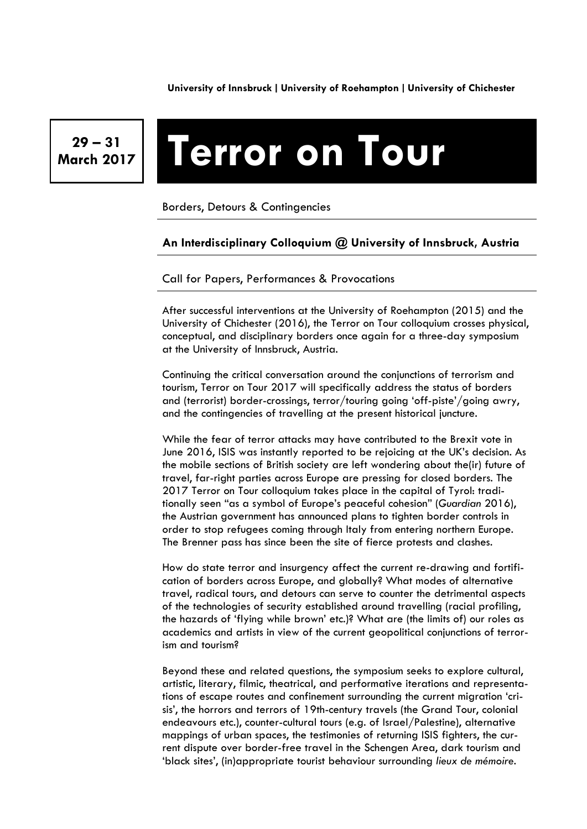**University of Innsbruck** ∣ **University of Roehampton** ∣ **University of Chichester**

**29 – 31** 

# **March 2017 Terror on Tour**

Borders, Detours & Contingencies

## **An Interdisciplinary Colloquium @ University of Innsbruck, Austria**

Call for Papers, Performances & Provocations

After successful interventions at the University of Roehampton (2015) and the University of Chichester (2016), the Terror on Tour colloquium crosses physical, conceptual, and disciplinary borders once again for a three-day symposium at the University of Innsbruck, Austria.

Continuing the critical conversation around the conjunctions of terrorism and tourism, Terror on Tour 2017 will specifically address the status of borders and (terrorist) border-crossings, terror/touring going 'off-piste'/going awry, and the contingencies of travelling at the present historical juncture.

While the fear of terror attacks may have contributed to the Brexit vote in June 2016, ISIS was instantly reported to be rejoicing at the UK's decision. As the mobile sections of British society are left wondering about the(ir) future of travel, far-right parties across Europe are pressing for closed borders. The 2017 Terror on Tour colloquium takes place in the capital of Tyrol: traditionally seen "as a symbol of Europe's peaceful cohesion" (*Guardian* 2016), the Austrian government has announced plans to tighten border controls in order to stop refugees coming through Italy from entering northern Europe. The Brenner pass has since been the site of fierce protests and clashes.

How do state terror and insurgency affect the current re-drawing and fortification of borders across Europe, and globally? What modes of alternative travel, radical tours, and detours can serve to counter the detrimental aspects of the technologies of security established around travelling (racial profiling, the hazards of 'flying while brown' etc.)? What are (the limits of) our roles as academics and artists in view of the current geopolitical conjunctions of terrorism and tourism?

Beyond these and related questions, the symposium seeks to explore cultural, artistic, literary, filmic, theatrical, and performative iterations and representations of escape routes and confinement surrounding the current migration 'crisis', the horrors and terrors of 19th-century travels (the Grand Tour, colonial endeavours etc.), counter-cultural tours (e.g. of Israel/Palestine), alternative mappings of urban spaces, the testimonies of returning ISIS fighters, the current dispute over border-free travel in the Schengen Area, dark tourism and 'black sites', (in)appropriate tourist behaviour surrounding *lieux de mémoire*.